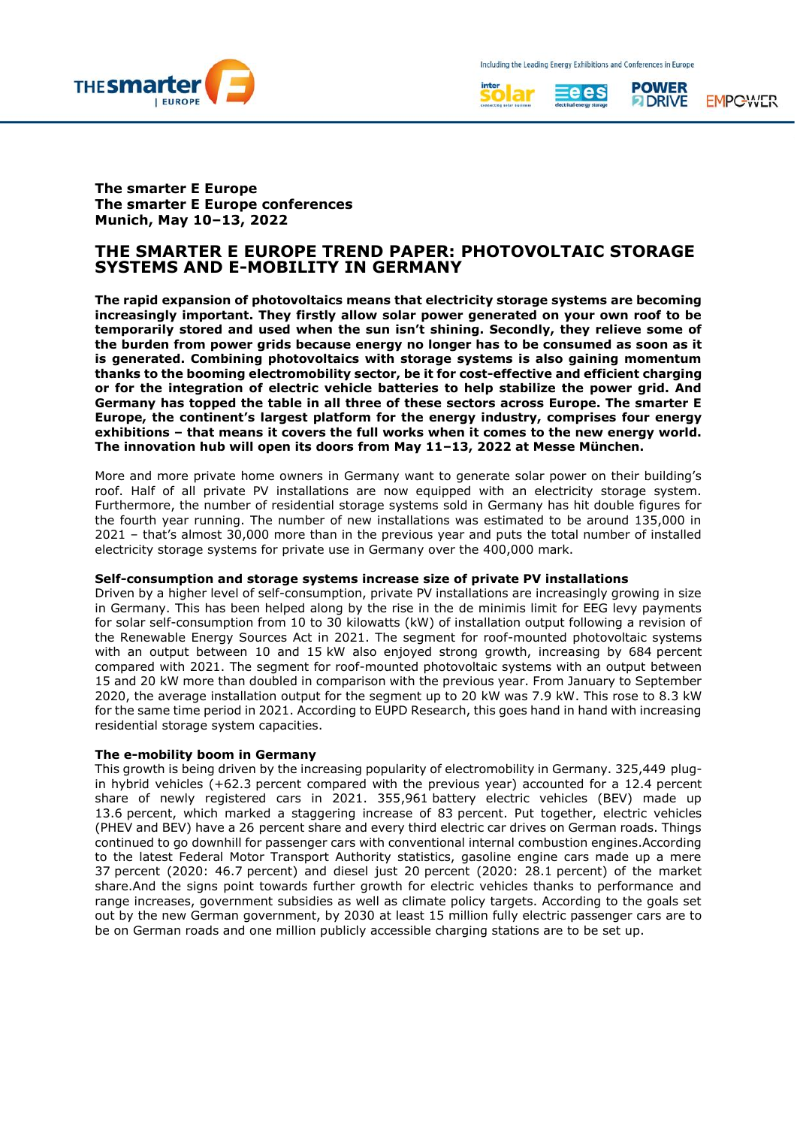





**EMPCWLTR** 

**The smarter E Europe The smarter E Europe conferences Munich, May 10–13, 2022**

# **THE SMARTER E EUROPE TREND PAPER: PHOTOVOLTAIC STORAGE SYSTEMS AND E-MOBILITY IN GERMANY**

**The rapid expansion of photovoltaics means that electricity storage systems are becoming increasingly important. They firstly allow solar power generated on your own roof to be temporarily stored and used when the sun isn't shining. Secondly, they relieve some of the burden from power grids because energy no longer has to be consumed as soon as it is generated. Combining photovoltaics with storage systems is also gaining momentum thanks to the booming electromobility sector, be it for cost-effective and efficient charging or for the integration of electric vehicle batteries to help stabilize the power grid. And Germany has topped the table in all three of these sectors across Europe. The smarter E Europe, the continent's largest platform for the energy industry, comprises four energy exhibitions – that means it covers the full works when it comes to the new energy world. The innovation hub will open its doors from May 11–13, 2022 at Messe München.**

More and more private home owners in Germany want to generate solar power on their building's roof. Half of all private PV installations are now equipped with an electricity storage system. Furthermore, the number of residential storage systems sold in Germany has hit double figures for the fourth year running. The number of new installations was estimated to be around 135,000 in 2021 – that's almost 30,000 more than in the previous year and puts the total number of installed electricity storage systems for private use in Germany over the 400,000 mark.

# **Self-consumption and storage systems increase size of private PV installations**

Driven by a higher level of self-consumption, private PV installations are increasingly growing in size in Germany. This has been helped along by the rise in the de minimis limit for EEG levy payments for solar self-consumption from 10 to 30 kilowatts (kW) of installation output following a revision of the Renewable Energy Sources Act in 2021. The segment for roof-mounted photovoltaic systems with an output between 10 and 15 kW also enjoyed strong growth, increasing by 684 percent compared with 2021. The segment for roof-mounted photovoltaic systems with an output between 15 and 20 kW more than doubled in comparison with the previous year. From January to September 2020, the average installation output for the segment up to 20 kW was 7.9 kW. This rose to 8.3 kW for the same time period in 2021. According to EUPD Research, this goes hand in hand with increasing residential storage system capacities.

# **The e-mobility boom in Germany**

This growth is being driven by the increasing popularity of electromobility in Germany. 325,449 plugin hybrid vehicles  $(+62.3$  percent compared with the previous year) accounted for a 12.4 percent share of newly registered cars in 2021. 355,961 battery electric vehicles (BEV) made up 13.6 percent, which marked a staggering increase of 83 percent. Put together, electric vehicles (PHEV and BEV) have a 26 percent share and every third electric car drives on German roads. Things continued to go downhill for passenger cars with conventional internal combustion engines.According to the latest Federal Motor Transport Authority statistics, gasoline engine cars made up a mere 37 percent (2020: 46.7 percent) and diesel just 20 percent (2020: 28.1 percent) of the market share.And the signs point towards further growth for electric vehicles thanks to performance and range increases, government subsidies as well as climate policy targets. According to the goals set out by the new German government, by 2030 at least 15 million fully electric passenger cars are to be on German roads and one million publicly accessible charging stations are to be set up.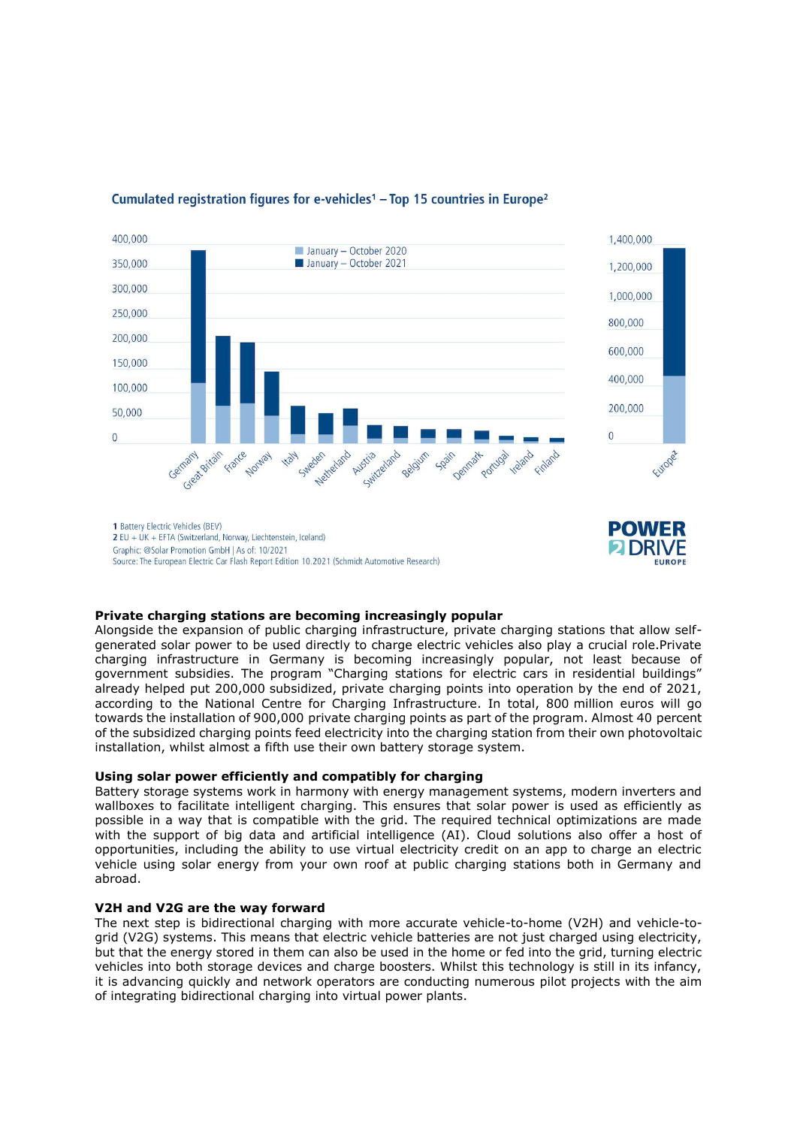

# Cumulated registration figures for e-vehicles<sup>1</sup> - Top 15 countries in Europe<sup>2</sup>

**Private charging stations are becoming increasingly popular** Alongside the expansion of public charging infrastructure, private charging stations that allow selfgenerated solar power to be used directly to charge electric vehicles also play a crucial role.Private charging infrastructure in Germany is becoming increasingly popular, not least because of government subsidies. The program "Charging stations for electric cars in residential buildings" already helped put 200,000 subsidized, private charging points into operation by the end of 2021, according to the National Centre for Charging Infrastructure. In total, 800 million euros will go towards the installation of 900,000 private charging points as part of the program. Almost 40 percent of the subsidized charging points feed electricity into the charging station from their own photovoltaic installation, whilst almost a fifth use their own battery storage system.

# **Using solar power efficiently and compatibly for charging**

Battery storage systems work in harmony with energy management systems, modern inverters and wallboxes to facilitate intelligent charging. This ensures that solar power is used as efficiently as possible in a way that is compatible with the grid. The required technical optimizations are made with the support of big data and artificial intelligence (AI). Cloud solutions also offer a host of opportunities, including the ability to use virtual electricity credit on an app to charge an electric vehicle using solar energy from your own roof at public charging stations both in Germany and abroad.

# **V2H and V2G are the way forward**

The next step is bidirectional charging with more accurate vehicle-to-home (V2H) and vehicle-togrid (V2G) systems. This means that electric vehicle batteries are not just charged using electricity, but that the energy stored in them can also be used in the home or fed into the grid, turning electric vehicles into both storage devices and charge boosters. Whilst this technology is still in its infancy, it is advancing quickly and network operators are conducting numerous pilot projects with the aim of integrating bidirectional charging into virtual power plants.